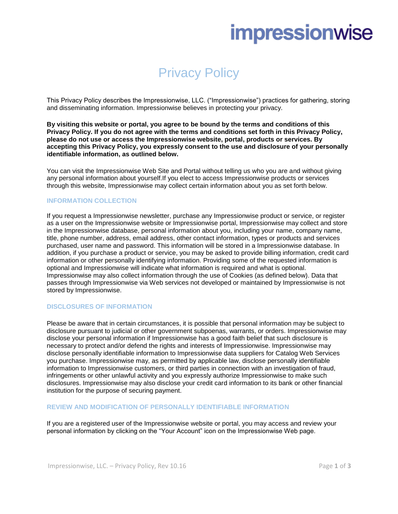# **impressionwise**

# Privacy Policy

This Privacy Policy describes the Impressionwise, LLC. ("Impressionwise") practices for gathering, storing and disseminating information. Impressionwise believes in protecting your privacy.

**By visiting this website or portal, you agree to be bound by the terms and conditions of this Privacy Policy. If you do not agree with the terms and conditions set forth in this Privacy Policy, please do not use or access the Impressionwise website, portal, products or services. By accepting this Privacy Policy, you expressly consent to the use and disclosure of your personally identifiable information, as outlined below.** 

You can visit the Impressionwise Web Site and Portal without telling us who you are and without giving any personal information about yourself.If you elect to access Impressionwise products or services through this website, Impressionwise may collect certain information about you as set forth below.

# **INFORMATION COLLECTION**

If you request a Impressionwise newsletter, purchase any Impressionwise product or service, or register as a user on the Impressionwise website or Impressionwise portal, Impressionwise may collect and store in the Impressionwise database, personal information about you, including your name, company name, title, phone number, address, email address, other contact information, types or products and services purchased, user name and password. This information will be stored in a Impressionwise database. In addition, if you purchase a product or service, you may be asked to provide billing information, credit card information or other personally identifying information. Providing some of the requested information is optional and Impressionwise will indicate what information is required and what is optional. Impressionwise may also collect information through the use of Cookies (as defined below). Data that passes through Impressionwise via Web services not developed or maintained by Impressionwise is not stored by Impressionwise.

# **DISCLOSURES OF INFORMATION**

Please be aware that in certain circumstances, it is possible that personal information may be subject to disclosure pursuant to judicial or other government subpoenas, warrants, or orders. Impressionwise may disclose your personal information if Impressionwise has a good faith belief that such disclosure is necessary to protect and/or defend the rights and interests of Impressionwise. Impressionwise may disclose personally identifiable information to Impressionwise data suppliers for Catalog Web Services you purchase. Impressionwise may, as permitted by applicable law, disclose personally identifiable information to Impressionwise customers, or third parties in connection with an investigation of fraud, infringements or other unlawful activity and you expressly authorize Impressionwise to make such disclosures. Impressionwise may also disclose your credit card information to its bank or other financial institution for the purpose of securing payment.

# **REVIEW AND MODIFICATION OF PERSONALLY IDENTIFIABLE INFORMATION**

If you are a registered user of the Impressionwise website or portal, you may access and review your personal information by clicking on the "Your Account" icon on the Impressionwise Web page.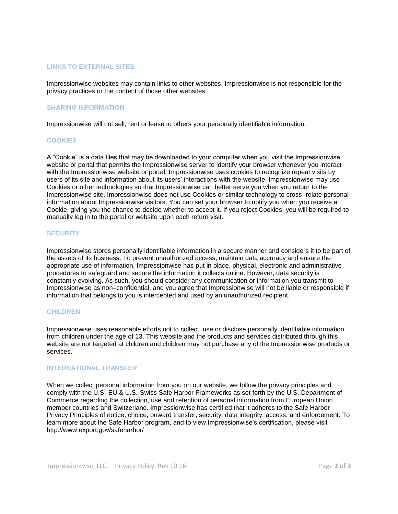# **LINKS TO EXTERNAL SITES**

Impressionwise websites may contain links to other websites. Impressionwise is not responsible for the privacy practices or the content of those other websites.

# **SHARING INFORMATION**

Impressionwise will not sell, rent or lease to others your personally identifiable information.

#### **COOKIES**

A "Cookie" is a data files that may be downloaded to your computer when you visit the Impressionwise website or portal that permits the Impressionwise server to identify your browser whenever you interact with the Impressionwise website or portal. Impressionwise uses cookies to recognize repeat visits by users of its site and information about its users' interactions with the website. Impressionwise may use Cookies or other technologies so that Impressionwise can better serve you when you return to the Impressionwise site. Impressionwise does not use Cookies or similar technology to cross–relate personal information about Impressionwise visitors. You can set your browser to notify you when you receive a Cookie, giving you the chance to decide whether to accept it. If you reject Cookies, you will be required to manually log in to the portal or website upon each return visit.

# **SECURITY**

Impressionwise stores personally identifiable information in a secure manner and considers it to be part of the assets of its business. To prevent unauthorized access, maintain data accuracy and ensure the appropriate use of information, Impressionwise has put in place, physical, electronic and administrative procedures to safeguard and secure the information it collects online. However, data security is constantly evolving. As such, you should consider any communication or information you transmit to Impressionwise as non–confidential, and you agree that Impressionwise will not be liable or responsible if information that belongs to you is intercepted and used by an unauthorized recipient.

#### **CHILDREN**

Impressionwise uses reasonable efforts not to collect, use or disclose personally identifiable information from children under the age of 13. This website and the products and services distributed through this website are not targeted at children and children may not purchase any of the Impressionwise products or services.

#### **INTERNATIONAL TRANSFER**

When we collect personal information from you on our website, we follow the privacy principles and comply with the U.S.-EU & U.S.-Swiss Safe Harbor Frameworks as set forth by the U.S. Department of Commerce regarding the collection, use and retention of personal information from European Union member countries and Switzerland. Impressionwise has certified that it adheres to the Safe Harbor Privacy Principles of notice, choice, onward transfer, security, data integrity, access, and enforcement. To learn more about the Safe Harbor program, and to view Impressionwise's certification, please visit http://www.export.gov/safeharbor/